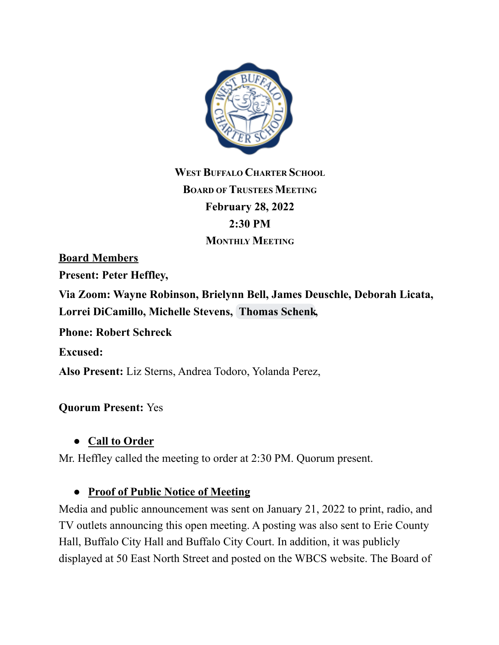

**WEST BUFFALO CHARTER SCHOOL BOARD OF TRUSTEES MEETING February 28, 2022 2:30 PM MONTHLY MEETING**

**Board Members**

**Present: Peter Heffley,**

**Via Zoom: Wayne Robinson, Brielynn Bell, James Deuschle, Deborah Licata, Lorrei DiCamillo, Michelle Stevens, [Thomas](mailto:thomaseschenkmd@gmail.com) Schenk,**

**Phone: Robert Schreck**

**Excused:**

**Also Present:** Liz Sterns, Andrea Todoro, Yolanda Perez,

#### **Quorum Present:** Yes

#### **● Call to Order**

Mr. Heffley called the meeting to order at 2:30 PM. Quorum present.

#### **● Proof of Public Notice of Meeting**

Media and public announcement was sent on January 21, 2022 to print, radio, and TV outlets announcing this open meeting. A posting was also sent to Erie County Hall, Buffalo City Hall and Buffalo City Court. In addition, it was publicly displayed at 50 East North Street and posted on the WBCS website. The Board of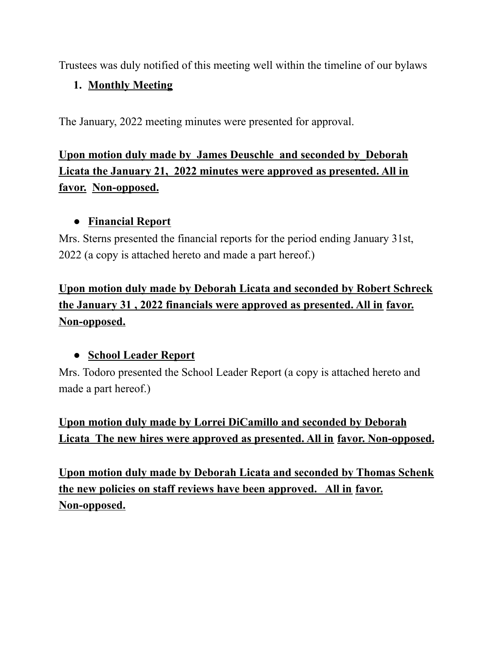Trustees was duly notified of this meeting well within the timeline of our bylaws

### **1. Monthly Meeting**

The January, 2022 meeting minutes were presented for approval.

# **Upon motion duly made by James Deuschle and seconded by\_Deborah Licata the January 21, 2022 minutes were approved as presented. All in favor. Non-opposed.**

### **● Financial Report**

Mrs. Sterns presented the financial reports for the period ending January 31st, 2022 (a copy is attached hereto and made a part hereof.)

## **Upon motion duly made by Deborah Licata and seconded by Robert Schreck the January 31 , 2022 financials were approved as presented. All in favor. Non-opposed.**

### **● School Leader Report**

Mrs. Todoro presented the School Leader Report (a copy is attached hereto and made a part hereof.)

## **Upon motion duly made by Lorrei DiCamillo and seconded by Deborah Licata The new hires were approved as presented. All in favor. Non-opposed.**

**Upon motion duly made by Deborah Licata and seconded by Thomas Schenk the new policies on staff reviews have been approved. All in favor. Non-opposed.**